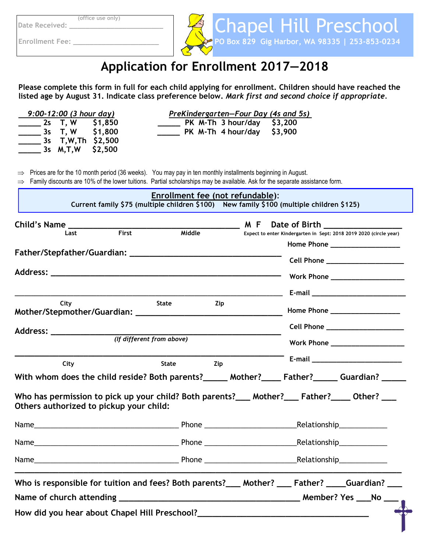**(office use only)** 

Date Received:

**Enrollment Fee:** 



۶

# **Application for Enrollment 2017—2018**

**Please complete this form in full for each child applying for enrollment. Children should have reached the listed age by August 31. Indicate class preference below.** *Mark first and second choice if appropriate.* 

| $9:00-12:00$ (3 hour day)                                                                                                                                                                                                                                               | PreKindergarten-Four Day (4s and 5s)                                                     |                                |                                                                                                                |
|-------------------------------------------------------------------------------------------------------------------------------------------------------------------------------------------------------------------------------------------------------------------------|------------------------------------------------------------------------------------------|--------------------------------|----------------------------------------------------------------------------------------------------------------|
| $\frac{1}{2}$ 2s T, W \$1,850<br>______ 3s T, W \$1,800<br>_____ 3s  T,W,Th \$2,500<br>$\frac{1}{2}$ 3s M,T,W \$2,500                                                                                                                                                   | ____ PK M-Th 3 hour/day \$3,200<br>$\frac{1}{2}$ PK M-Th 4 hour/day \$3,900              |                                |                                                                                                                |
| $\Rightarrow$ Prices are for the 10 month period (36 weeks). You may pay in ten monthly installments beginning in August.<br>$\Rightarrow$ Family discounts are 10% of the lower tuitions. Partial scholarships may be available. Ask for the separate assistance form. | Enrollment fee (not refundable):                                                         |                                |                                                                                                                |
|                                                                                                                                                                                                                                                                         | Current family \$75 (multiple children \$100) New family \$100 (multiple children \$125) |                                |                                                                                                                |
| First<br>Last                                                                                                                                                                                                                                                           | Middle                                                                                   |                                | Expect to enter Kindergarten in Sept: 2018 2019 2020 (circle year)<br>Home Phone ____________________          |
|                                                                                                                                                                                                                                                                         |                                                                                          |                                | Cell Phone _____________________<br>Work Phone _____________________                                           |
|                                                                                                                                                                                                                                                                         |                                                                                          |                                |                                                                                                                |
| City<br><b>State</b><br>Zip                                                                                                                                                                                                                                             |                                                                                          | Home Phone ___________________ |                                                                                                                |
| Address: ________________                                                                                                                                                                                                                                               |                                                                                          |                                | Cell Phone _______________________                                                                             |
| (If different from above)                                                                                                                                                                                                                                               |                                                                                          |                                | Work Phone ____________________                                                                                |
| City                                                                                                                                                                                                                                                                    | State<br>Zip                                                                             |                                | E-mail and the contract of the contract of the contract of the contract of the contract of the contract of the |
| With whom does the child reside? Both parents?______ Mother?_____ Father?______ Guardian? ______                                                                                                                                                                        |                                                                                          |                                |                                                                                                                |
| Who has permission to pick up your child? Both parents?___ Mother?___ Father?____ Other? ___<br>Others authorized to pickup your child:                                                                                                                                 |                                                                                          |                                |                                                                                                                |
|                                                                                                                                                                                                                                                                         |                                                                                          |                                |                                                                                                                |
|                                                                                                                                                                                                                                                                         |                                                                                          |                                |                                                                                                                |
|                                                                                                                                                                                                                                                                         |                                                                                          |                                |                                                                                                                |
| Who is responsible for tuition and fees? Both parents?___ Mother? ___ Father? ____ Guardian? ___                                                                                                                                                                        |                                                                                          |                                |                                                                                                                |
| Who is responsible for calculation $\frac{1}{2}$ .                                                                                                                                                                                                                      |                                                                                          |                                |                                                                                                                |
|                                                                                                                                                                                                                                                                         |                                                                                          |                                |                                                                                                                |